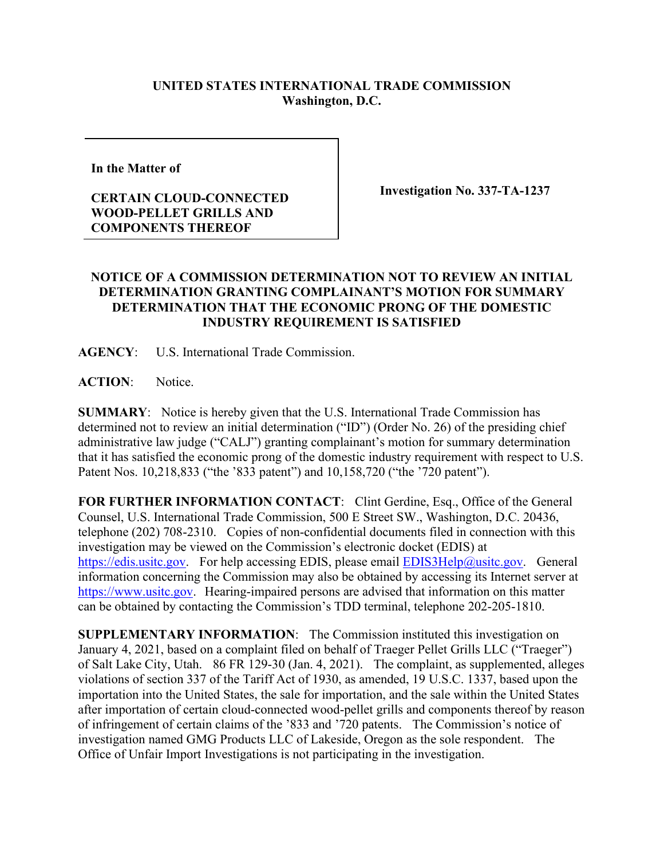## **UNITED STATES INTERNATIONAL TRADE COMMISSION Washington, D.C.**

**In the Matter of** 

## **CERTAIN CLOUD-CONNECTED WOOD-PELLET GRILLS AND COMPONENTS THEREOF**

**Investigation No. 337-TA-1237**

## **NOTICE OF A COMMISSION DETERMINATION NOT TO REVIEW AN INITIAL DETERMINATION GRANTING COMPLAINANT'S MOTION FOR SUMMARY DETERMINATION THAT THE ECONOMIC PRONG OF THE DOMESTIC INDUSTRY REQUIREMENT IS SATISFIED**

**AGENCY**: U.S. International Trade Commission.

**ACTION**: Notice.

**SUMMARY**: Notice is hereby given that the U.S. International Trade Commission has determined not to review an initial determination ("ID") (Order No. 26) of the presiding chief administrative law judge ("CALJ") granting complainant's motion for summary determination that it has satisfied the economic prong of the domestic industry requirement with respect to U.S. Patent Nos. 10,218,833 ("the '833 patent") and 10,158,720 ("the '720 patent").

**FOR FURTHER INFORMATION CONTACT**: Clint Gerdine, Esq., Office of the General Counsel, U.S. International Trade Commission, 500 E Street SW., Washington, D.C. 20436, telephone (202) 708-2310. Copies of non-confidential documents filed in connection with this investigation may be viewed on the Commission's electronic docket (EDIS) at [https://edis.usitc.gov.](https://edis.usitc.gov/) For help accessing EDIS, please email [EDIS3Help@usitc.gov.](mailto:EDIS3Help@usitc.gov) General information concerning the Commission may also be obtained by accessing its Internet server at [https://www.usitc.gov.](https://www.usitc.gov/) Hearing-impaired persons are advised that information on this matter can be obtained by contacting the Commission's TDD terminal, telephone 202-205-1810.

**SUPPLEMENTARY INFORMATION**: The Commission instituted this investigation on January 4, 2021, based on a complaint filed on behalf of Traeger Pellet Grills LLC ("Traeger") of Salt Lake City, Utah. 86 FR 129-30 (Jan. 4, 2021). The complaint, as supplemented, alleges violations of section 337 of the Tariff Act of 1930, as amended, 19 U.S.C. 1337, based upon the importation into the United States, the sale for importation, and the sale within the United States after importation of certain cloud-connected wood-pellet grills and components thereof by reason of infringement of certain claims of the '833 and '720 patents. The Commission's notice of investigation named GMG Products LLC of Lakeside, Oregon as the sole respondent. The Office of Unfair Import Investigations is not participating in the investigation.